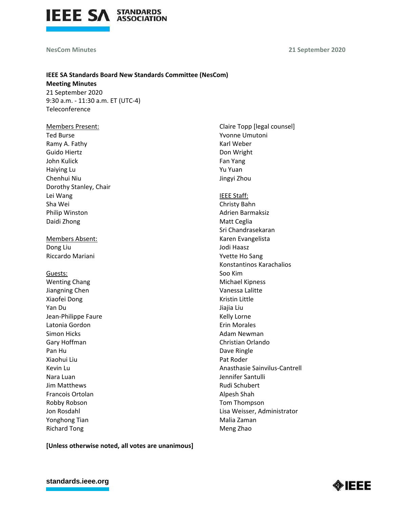

## **NesCom Minutes**

**21 September 2020**

# **IEEE SA Standards Board New Standards Committee (NesCom) Meeting Minutes**

21 September 2020 9:30 a.m. - 11:30 a.m. ET (UTC-4) Teleconference

## Members Present:

Ted Burse Ramy A. Fathy Guido Hiertz John Kulick Haiying Lu Chenhui Niu Dorothy Stanley, Chair Lei Wang Sha Wei Philip Winston Daidi Zhong

Members Absent: Dong Liu Riccardo Mariani

# Guests: Wenting Chang Jiangning Chen Xiaofei Dong Yan Du Jean-Philippe Faure Latonia Gordon Simon Hicks Gary Hoffman Pan Hu Xiaohui Liu Kevin Lu Nara Luan Jim Matthews Francois Ortolan

Robby Robson Jon Rosdahl Yonghong Tian Richard Tong

# Claire Topp [legal counsel] Yvonne Umutoni Karl Weber Don Wright Fan Yang Yu Yuan Jingyi Zhou IEEE Staff: Christy Bahn Adrien Barmaksiz Matt Ceglia Sri Chandrasekaran Karen Evangelista Jodi Haasz Yvette Ho Sang Konstantinos Karachalios Soo Kim Michael Kipness Vanessa Lalitte Kristin Little Jiajia Liu Kelly Lorne Erin Morales Adam Newman Christian Orlando Dave Ringle Pat Roder Anasthasie Sainvilus-Cantrell Jennifer Santulli Rudi Schubert Alpesh Shah Tom Thompson Lisa Weisser, Administrator Malia Zaman

Meng Zhao

**[Unless otherwise noted, all votes are unanimous]**

## **[standards.ieee.org](http://standards.ieee.org/)**

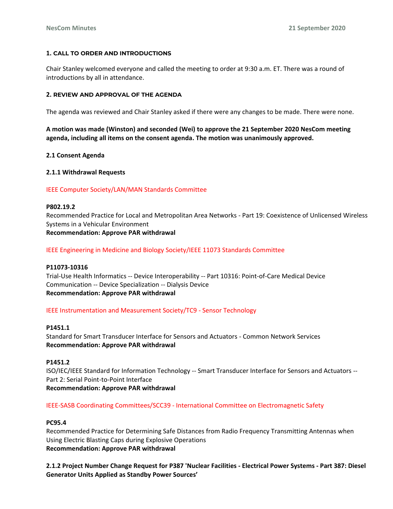## **1. CALL TO ORDER AND INTRODUCTIONS**

Chair Stanley welcomed everyone and called the meeting to order at 9:30 a.m. ET. There was a round of introductions by all in attendance.

## **2. REVIEW AND APPROVAL OF THE AGENDA**

The agenda was reviewed and Chair Stanley asked if there were any changes to be made. There were none.

**A motion was made (Winston) and seconded (Wei) to approve the 21 September 2020 NesCom meeting agenda, including all items on the consent agenda. The motion was unanimously approved.**

## **2.1 Consent Agenda**

## **2.1.1 Withdrawal Requests**

## IEEE Computer Society/LAN/MAN Standards Committee

#### **P802.19.2**

Recommended Practice for Local and Metropolitan Area Networks - Part 19: Coexistence of Unlicensed Wireless Systems in a Vehicular Environment **Recommendation: Approve PAR withdrawal**

IEEE Engineering in Medicine and Biology Society/IEEE 11073 Standards Committee

#### **P11073-10316**

Trial-Use Health Informatics -- Device Interoperability -- Part 10316: Point-of-Care Medical Device Communication -- Device Specialization -- Dialysis Device **Recommendation: Approve PAR withdrawal**

### IEEE Instrumentation and Measurement Society/TC9 - Sensor Technology

#### **P1451.1**

Standard for Smart Transducer Interface for Sensors and Actuators - Common Network Services **Recommendation: Approve PAR withdrawal**

## **P1451.2**

ISO/IEC/IEEE Standard for Information Technology -- Smart Transducer Interface for Sensors and Actuators -- Part 2: Serial Point-to-Point Interface **Recommendation: Approve PAR withdrawal**

## IEEE-SASB Coordinating Committees/SCC39 - International Committee on Electromagnetic Safety

#### **PC95.4**

Recommended Practice for Determining Safe Distances from Radio Frequency Transmitting Antennas when Using Electric Blasting Caps during Explosive Operations **Recommendation: Approve PAR withdrawal**

**2.1.2 Project Number Change Request for P387 'Nuclear Facilities - Electrical Power Systems - Part 387: Diesel Generator Units Applied as Standby Power Sources'**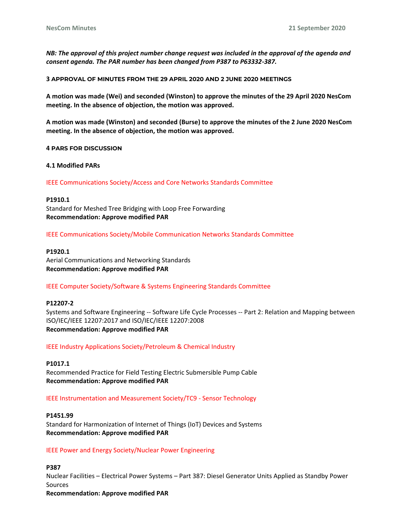*NB: The approval of this project number change request was included in the approval of the agenda and consent agenda. The PAR number has been changed from P387 to P63332-387.*

**3 APPROVAL OF MINUTES FROM THE 29 APRIL 2020 AND 2 JUNE 2020 MEETINGS**

**A motion was made (Wei) and seconded (Winston) to approve the minutes of the 29 April 2020 NesCom meeting. In the absence of objection, the motion was approved.**

**A motion was made (Winston) and seconded (Burse) to approve the minutes of the 2 June 2020 NesCom meeting. In the absence of objection, the motion was approved.**

**4 PARS FOR DISCUSSION**

**4.1 Modified PARs**

IEEE Communications Society/Access and Core Networks Standards Committee

#### **P1910.1**

Standard for Meshed Tree Bridging with Loop Free Forwarding **Recommendation: Approve modified PAR**

IEEE Communications Society/Mobile Communication Networks Standards Committee

#### **P1920.1**

Aerial Communications and Networking Standards **Recommendation: Approve modified PAR**

IEEE Computer Society/Software & Systems Engineering Standards Committee

#### **P12207-2**

Systems and Software Engineering -- Software Life Cycle Processes -- Part 2: Relation and Mapping between ISO/IEC/IEEE 12207:2017 and ISO/IEC/IEEE 12207:2008 **Recommendation: Approve modified PAR**

IEEE Industry Applications Society/Petroleum & Chemical Industry

**P1017.1** Recommended Practice for Field Testing Electric Submersible Pump Cable **Recommendation: Approve modified PAR**

IEEE Instrumentation and Measurement Society/TC9 - Sensor Technology

#### **P1451.99**

Standard for Harmonization of Internet of Things (IoT) Devices and Systems **Recommendation: Approve modified PAR**

#### IEEE Power and Energy Society/Nuclear Power Engineering

**P387** Nuclear Facilities – Electrical Power Systems – Part 387: Diesel Generator Units Applied as Standby Power Sources **Recommendation: Approve modified PAR**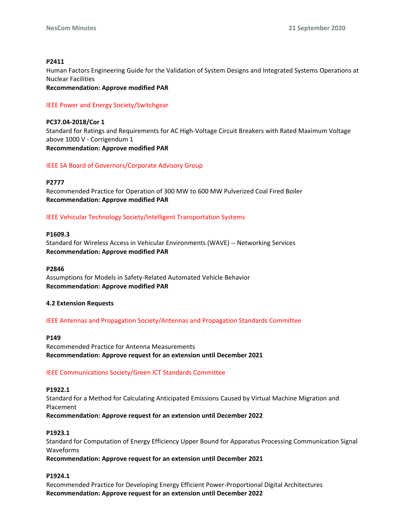### **P2411**

Human Factors Engineering Guide for the Validation of System Designs and Integrated Systems Operations at Nuclear Facilities

**Recommendation: Approve modified PAR**

### IEEE Power and Energy Society/Switchgear

**PC37.04-2018/Cor 1** Standard for Ratings and Requirements for AC High-Voltage Circuit Breakers with Rated Maximum Voltage above 1000 V - Corrigendum 1 **Recommendation: Approve modified PAR**

## IEEE SA Board of Governors/Corporate Advisory Group

#### **P2777**

Recommended Practice for Operation of 300 MW to 600 MW Pulverized Coal Fired Boiler **Recommendation: Approve modified PAR**

## IEEE Vehicular Technology Society/Intelligent Transportation Systems

## **P1609.3**

Standard for Wireless Access in Vehicular Environments (WAVE) -- Networking Services **Recommendation: Approve modified PAR**

#### **P2846**

Assumptions for Models in Safety-Related Automated Vehicle Behavior **Recommendation: Approve modified PAR**

#### **4.2 Extension Requests**

IEEE Antennas and Propagation Society/Antennas and Propagation Standards Committee

#### **P149**

Recommended Practice for Antenna Measurements **Recommendation: Approve request for an extension until December 2021**

#### IEEE Communications Society/Green ICT Standards Committee

#### **P1922.1**

Standard for a Method for Calculating Anticipated Emissions Caused by Virtual Machine Migration and Placement

**Recommendation: Approve request for an extension until December 2022**

#### **P1923.1**

Standard for Computation of Energy Efficiency Upper Bound for Apparatus Processing Communication Signal Waveforms

**Recommendation: Approve request for an extension until December 2021**

### **P1924.1**

Recommended Practice for Developing Energy Efficient Power-Proportional Digital Architectures **Recommendation: Approve request for an extension until December 2022**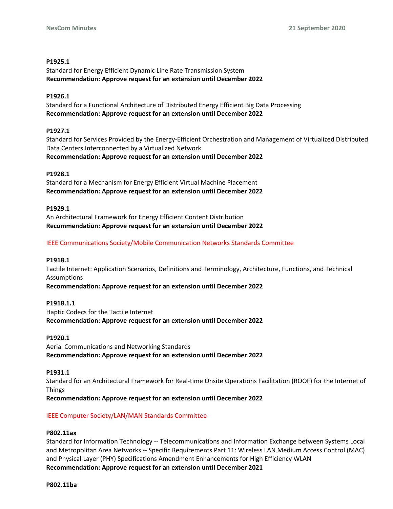## **P1925.1**

Standard for Energy Efficient Dynamic Line Rate Transmission System **Recommendation: Approve request for an extension until December 2022**

## **P1926.1**

Standard for a Functional Architecture of Distributed Energy Efficient Big Data Processing **Recommendation: Approve request for an extension until December 2022**

## **P1927.1**

Standard for Services Provided by the Energy-Efficient Orchestration and Management of Virtualized Distributed Data Centers Interconnected by a Virtualized Network

**Recommendation: Approve request for an extension until December 2022**

## **P1928.1**

Standard for a Mechanism for Energy Efficient Virtual Machine Placement **Recommendation: Approve request for an extension until December 2022**

## **P1929.1**

An Architectural Framework for Energy Efficient Content Distribution **Recommendation: Approve request for an extension until December 2022**

## IEEE Communications Society/Mobile Communication Networks Standards Committee

#### **P1918.1**

Tactile Internet: Application Scenarios, Definitions and Terminology, Architecture, Functions, and Technical Assumptions

**Recommendation: Approve request for an extension until December 2022**

#### **P1918.1.1**

Haptic Codecs for the Tactile Internet **Recommendation: Approve request for an extension until December 2022**

#### **P1920.1**

Aerial Communications and Networking Standards **Recommendation: Approve request for an extension until December 2022**

#### **P1931.1**

Standard for an Architectural Framework for Real-time Onsite Operations Facilitation (ROOF) for the Internet of Things

**Recommendation: Approve request for an extension until December 2022**

## IEEE Computer Society/LAN/MAN Standards Committee

#### **P802.11ax**

Standard for Information Technology -- Telecommunications and Information Exchange between Systems Local and Metropolitan Area Networks -- Specific Requirements Part 11: Wireless LAN Medium Access Control (MAC) and Physical Layer (PHY) Specifications Amendment Enhancements for High Efficiency WLAN **Recommendation: Approve request for an extension until December 2021**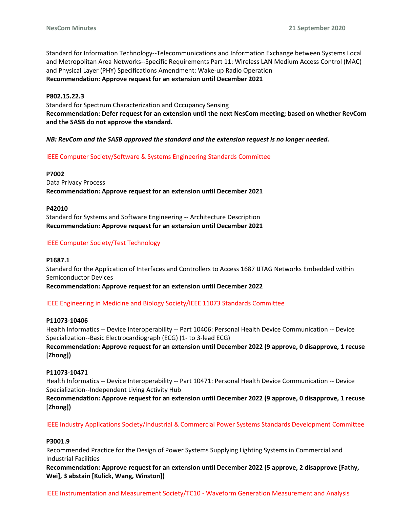Standard for Information Technology--Telecommunications and Information Exchange between Systems Local and Metropolitan Area Networks--Specific Requirements Part 11: Wireless LAN Medium Access Control (MAC) and Physical Layer (PHY) Specifications Amendment: Wake-up Radio Operation **Recommendation: Approve request for an extension until December 2021**

## **P802.15.22.3**

Standard for Spectrum Characterization and Occupancy Sensing **Recommendation: Defer request for an extension until the next NesCom meeting; based on whether RevCom and the SASB do not approve the standard.**

## *NB: RevCom and the SASB approved the standard and the extension request is no longer needed.*

## IEEE Computer Society/Software & Systems Engineering Standards Committee

**P7002** Data Privacy Process **Recommendation: Approve request for an extension until December 2021**

#### **P42010**

Standard for Systems and Software Engineering -- Architecture Description **Recommendation: Approve request for an extension until December 2021**

## IEEE Computer Society/Test Technology

#### **P1687.1**

Standard for the Application of Interfaces and Controllers to Access 1687 IJTAG Networks Embedded within Semiconductor Devices

**Recommendation: Approve request for an extension until December 2022**

#### IEEE Engineering in Medicine and Biology Society/IEEE 11073 Standards Committee

#### **P11073-10406**

Health Informatics -- Device Interoperability -- Part 10406: Personal Health Device Communication -- Device Specialization--Basic Electrocardiograph (ECG) (1- to 3-lead ECG)

**Recommendation: Approve request for an extension until December 2022 (9 approve, 0 disapprove, 1 recuse [Zhong])**

### **P11073-10471**

Health Informatics -- Device Interoperability -- Part 10471: Personal Health Device Communication -- Device Specialization--Independent Living Activity Hub

**Recommendation: Approve request for an extension until December 2022 (9 approve, 0 disapprove, 1 recuse [Zhong])**

IEEE Industry Applications Society/Industrial & Commercial Power Systems Standards Development Committee

#### **P3001.9**

Recommended Practice for the Design of Power Systems Supplying Lighting Systems in Commercial and Industrial Facilities

**Recommendation: Approve request for an extension until December 2022 (5 approve, 2 disapprove [Fathy, Wei], 3 abstain [Kulick, Wang, Winston])**

IEEE Instrumentation and Measurement Society/TC10 - Waveform Generation Measurement and Analysis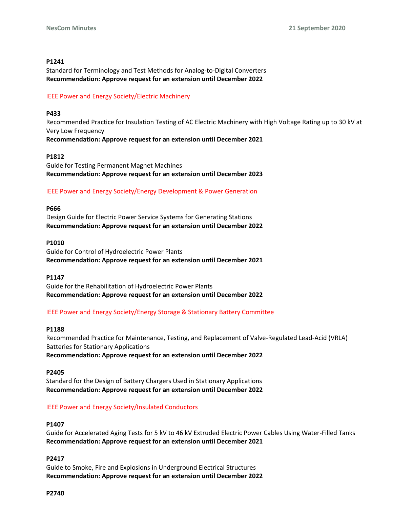#### **P1241**

Standard for Terminology and Test Methods for Analog-to-Digital Converters **Recommendation: Approve request for an extension until December 2022**

## IEEE Power and Energy Society/Electric Machinery

## **P433**

Recommended Practice for Insulation Testing of AC Electric Machinery with High Voltage Rating up to 30 kV at Very Low Frequency **Recommendation: Approve request for an extension until December 2021**

## **P1812**

Guide for Testing Permanent Magnet Machines **Recommendation: Approve request for an extension until December 2023**

## IEEE Power and Energy Society/Energy Development & Power Generation

#### **P666**

Design Guide for Electric Power Service Systems for Generating Stations **Recommendation: Approve request for an extension until December 2022**

#### **P1010**

Guide for Control of Hydroelectric Power Plants **Recommendation: Approve request for an extension until December 2021**

#### **P1147**

Guide for the Rehabilitation of Hydroelectric Power Plants **Recommendation: Approve request for an extension until December 2022**

## IEEE Power and Energy Society/Energy Storage & Stationary Battery Committee

#### **P1188**

Recommended Practice for Maintenance, Testing, and Replacement of Valve-Regulated Lead-Acid (VRLA) Batteries for Stationary Applications

**Recommendation: Approve request for an extension until December 2022**

#### **P2405**

Standard for the Design of Battery Chargers Used in Stationary Applications **Recommendation: Approve request for an extension until December 2022**

## IEEE Power and Energy Society/Insulated Conductors

#### **P1407**

Guide for Accelerated Aging Tests for 5 kV to 46 kV Extruded Electric Power Cables Using Water-Filled Tanks **Recommendation: Approve request for an extension until December 2021**

#### **P2417**

Guide to Smoke, Fire and Explosions in Underground Electrical Structures **Recommendation: Approve request for an extension until December 2022**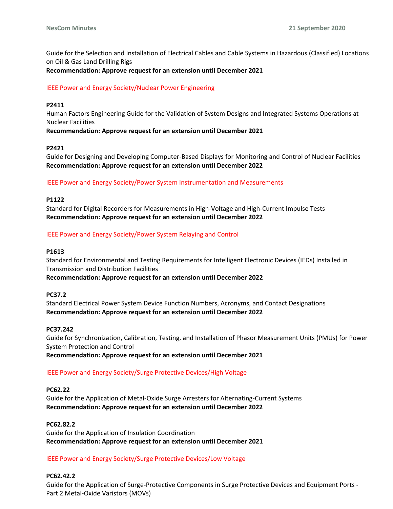Guide for the Selection and Installation of Electrical Cables and Cable Systems in Hazardous (Classified) Locations on Oil & Gas Land Drilling Rigs

**Recommendation: Approve request for an extension until December 2021**

## IEEE Power and Energy Society/Nuclear Power Engineering

## **P2411**

Human Factors Engineering Guide for the Validation of System Designs and Integrated Systems Operations at Nuclear Facilities

**Recommendation: Approve request for an extension until December 2021**

## **P2421**

Guide for Designing and Developing Computer-Based Displays for Monitoring and Control of Nuclear Facilities **Recommendation: Approve request for an extension until December 2022**

IEEE Power and Energy Society/Power System Instrumentation and Measurements

#### **P1122**

Standard for Digital Recorders for Measurements in High-Voltage and High-Current Impulse Tests **Recommendation: Approve request for an extension until December 2022**

## IEEE Power and Energy Society/Power System Relaying and Control

### **P1613**

**PC37.2**

Standard for Environmental and Testing Requirements for Intelligent Electronic Devices (IEDs) Installed in Transmission and Distribution Facilities **Recommendation: Approve request for an extension until December 2022**

Standard Electrical Power System Device Function Numbers, Acronyms, and Contact Designations **Recommendation: Approve request for an extension until December 2022**

#### **PC37.242**

Guide for Synchronization, Calibration, Testing, and Installation of Phasor Measurement Units (PMUs) for Power System Protection and Control

**Recommendation: Approve request for an extension until December 2021**

#### IEEE Power and Energy Society/Surge Protective Devices/High Voltage

### **PC62.22**

Guide for the Application of Metal-Oxide Surge Arresters for Alternating-Current Systems **Recommendation: Approve request for an extension until December 2022**

#### **PC62.82.2**

Guide for the Application of Insulation Coordination **Recommendation: Approve request for an extension until December 2021**

#### IEEE Power and Energy Society/Surge Protective Devices/Low Voltage

#### **PC62.42.2**

Guide for the Application of Surge-Protective Components in Surge Protective Devices and Equipment Ports - Part 2 Metal-Oxide Varistors (MOVs)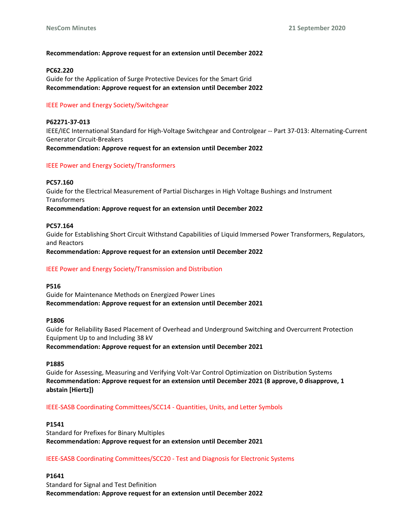## **Recommendation: Approve request for an extension until December 2022**

#### **PC62.220**

Guide for the Application of Surge Protective Devices for the Smart Grid **Recommendation: Approve request for an extension until December 2022**

## IEEE Power and Energy Society/Switchgear

**P62271-37-013** IEEE/IEC International Standard for High-Voltage Switchgear and Controlgear -- Part 37-013: Alternating-Current Generator Circuit-Breakers **Recommendation: Approve request for an extension until December 2022**

## IEEE Power and Energy Society/Transformers

**PC57.160** Guide for the Electrical Measurement of Partial Discharges in High Voltage Bushings and Instrument **Transformers Recommendation: Approve request for an extension until December 2022**

#### **PC57.164**

Guide for Establishing Short Circuit Withstand Capabilities of Liquid Immersed Power Transformers, Regulators, and Reactors

**Recommendation: Approve request for an extension until December 2022**

#### IEEE Power and Energy Society/Transmission and Distribution

#### **P516**

Guide for Maintenance Methods on Energized Power Lines **Recommendation: Approve request for an extension until December 2021**

#### **P1806**

Guide for Reliability Based Placement of Overhead and Underground Switching and Overcurrent Protection Equipment Up to and Including 38 kV

**Recommendation: Approve request for an extension until December 2021**

#### **P1885**

Guide for Assessing, Measuring and Verifying Volt-Var Control Optimization on Distribution Systems **Recommendation: Approve request for an extension until December 2021 (8 approve, 0 disapprove, 1 abstain [Hiertz])**

IEEE-SASB Coordinating Committees/SCC14 - Quantities, Units, and Letter Symbols

## **P1541**

Standard for Prefixes for Binary Multiples **Recommendation: Approve request for an extension until December 2021**

#### IEEE-SASB Coordinating Committees/SCC20 - Test and Diagnosis for Electronic Systems

### **P1641**

Standard for Signal and Test Definition **Recommendation: Approve request for an extension until December 2022**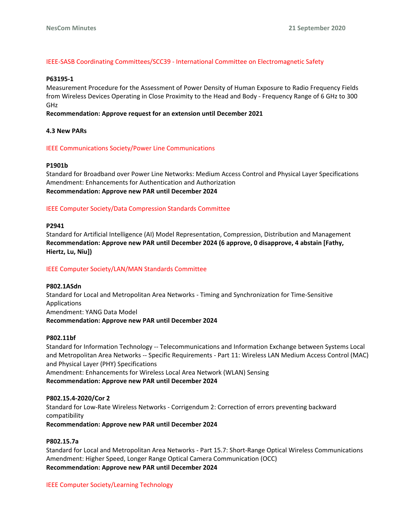## IEEE-SASB Coordinating Committees/SCC39 - International Committee on Electromagnetic Safety

#### **P63195-1**

Measurement Procedure for the Assessment of Power Density of Human Exposure to Radio Frequency Fields from Wireless Devices Operating in Close Proximity to the Head and Body - Frequency Range of 6 GHz to 300 GHz

### **Recommendation: Approve request for an extension until December 2021**

#### **4.3 New PARs**

## IEEE Communications Society/Power Line Communications

#### **P1901b**

Standard for Broadband over Power Line Networks: Medium Access Control and Physical Layer Specifications Amendment: Enhancements for Authentication and Authorization **Recommendation: Approve new PAR until December 2024**

## IEEE Computer Society/Data Compression Standards Committee

#### **P2941**

Standard for Artificial Intelligence (AI) Model Representation, Compression, Distribution and Management **Recommendation: Approve new PAR until December 2024 (6 approve, 0 disapprove, 4 abstain [Fathy, Hiertz, Lu, Niu])**

## IEEE Computer Society/LAN/MAN Standards Committee

# **P802.1ASdn** Standard for Local and Metropolitan Area Networks - Timing and Synchronization for Time-Sensitive Applications Amendment: YANG Data Model

#### **Recommendation: Approve new PAR until December 2024**

#### **P802.11bf**

Standard for Information Technology -- Telecommunications and Information Exchange between Systems Local and Metropolitan Area Networks -- Specific Requirements - Part 11: Wireless LAN Medium Access Control (MAC) and Physical Layer (PHY) Specifications

Amendment: Enhancements for Wireless Local Area Network (WLAN) Sensing **Recommendation: Approve new PAR until December 2024**

#### **P802.15.4-2020/Cor 2**

Standard for Low-Rate Wireless Networks - Corrigendum 2: Correction of errors preventing backward compatibility

**Recommendation: Approve new PAR until December 2024**

## **P802.15.7a**

Standard for Local and Metropolitan Area Networks - Part 15.7: Short-Range Optical Wireless Communications Amendment: Higher Speed, Longer Range Optical Camera Communication (OCC) **Recommendation: Approve new PAR until December 2024**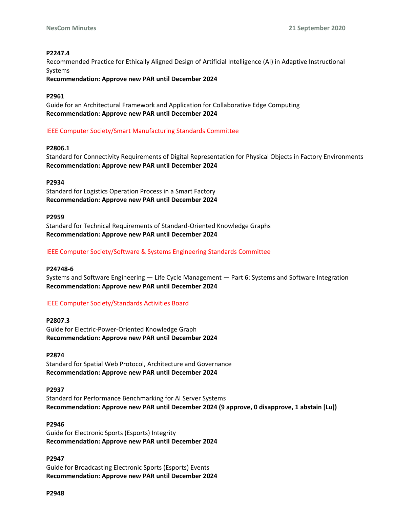## **P2247.4**

Recommended Practice for Ethically Aligned Design of Artificial Intelligence (AI) in Adaptive Instructional Systems

**Recommendation: Approve new PAR until December 2024**

## **P2961**

Guide for an Architectural Framework and Application for Collaborative Edge Computing **Recommendation: Approve new PAR until December 2024**

## IEEE Computer Society/Smart Manufacturing Standards Committee

## **P2806.1**

Standard for Connectivity Requirements of Digital Representation for Physical Objects in Factory Environments **Recommendation: Approve new PAR until December 2024**

## **P2934**

Standard for Logistics Operation Process in a Smart Factory **Recommendation: Approve new PAR until December 2024**

#### **P2959**

Standard for Technical Requirements of Standard-Oriented Knowledge Graphs **Recommendation: Approve new PAR until December 2024**

## IEEE Computer Society/Software & Systems Engineering Standards Committee

#### **P24748-6**

Systems and Software Engineering — Life Cycle Management — Part 6: Systems and Software Integration **Recommendation: Approve new PAR until December 2024**

## IEEE Computer Society/Standards Activities Board

#### **P2807.3**

Guide for Electric-Power-Oriented Knowledge Graph **Recommendation: Approve new PAR until December 2024**

#### **P2874**

Standard for Spatial Web Protocol, Architecture and Governance **Recommendation: Approve new PAR until December 2024**

#### **P2937**

Standard for Performance Benchmarking for AI Server Systems **Recommendation: Approve new PAR until December 2024 (9 approve, 0 disapprove, 1 abstain [Lu])**

## **P2946**

Guide for Electronic Sports (Esports) Integrity **Recommendation: Approve new PAR until December 2024**

#### **P2947**

Guide for Broadcasting Electronic Sports (Esports) Events **Recommendation: Approve new PAR until December 2024**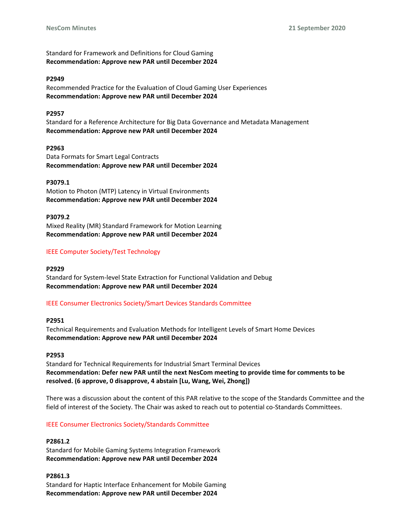Standard for Framework and Definitions for Cloud Gaming **Recommendation: Approve new PAR until December 2024**

#### **P2949**

Recommended Practice for the Evaluation of Cloud Gaming User Experiences **Recommendation: Approve new PAR until December 2024**

#### **P2957**

Standard for a Reference Architecture for Big Data Governance and Metadata Management **Recommendation: Approve new PAR until December 2024**

#### **P2963**

Data Formats for Smart Legal Contracts **Recommendation: Approve new PAR until December 2024**

# **P3079.1**

Motion to Photon (MTP) Latency in Virtual Environments **Recommendation: Approve new PAR until December 2024**

#### **P3079.2**

Mixed Reality (MR) Standard Framework for Motion Learning **Recommendation: Approve new PAR until December 2024**

## IEEE Computer Society/Test Technology

#### **P2929**

Standard for System-level State Extraction for Functional Validation and Debug **Recommendation: Approve new PAR until December 2024**

#### IEEE Consumer Electronics Society/Smart Devices Standards Committee

#### **P2951**

Technical Requirements and Evaluation Methods for Intelligent Levels of Smart Home Devices **Recommendation: Approve new PAR until December 2024**

#### **P2953**

Standard for Technical Requirements for Industrial Smart Terminal Devices **Recommendation: Defer new PAR until the next NesCom meeting to provide time for comments to be resolved. (6 approve, 0 disapprove, 4 abstain [Lu, Wang, Wei, Zhong])**

There was a discussion about the content of this PAR relative to the scope of the Standards Committee and the field of interest of the Society. The Chair was asked to reach out to potential co-Standards Committees.

#### IEEE Consumer Electronics Society/Standards Committee

**P2861.2** Standard for Mobile Gaming Systems Integration Framework **Recommendation: Approve new PAR until December 2024**

## **P2861.3**

Standard for Haptic Interface Enhancement for Mobile Gaming **Recommendation: Approve new PAR until December 2024**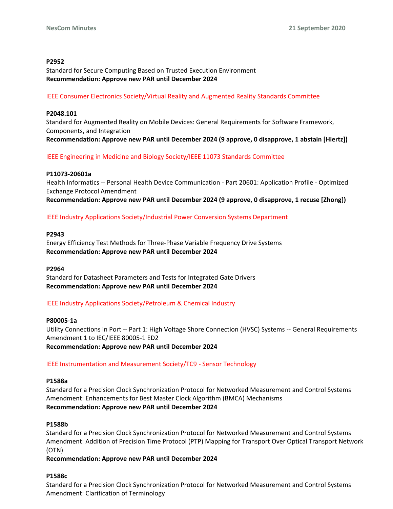## **P2952**

Standard for Secure Computing Based on Trusted Execution Environment **Recommendation: Approve new PAR until December 2024**

## IEEE Consumer Electronics Society/Virtual Reality and Augmented Reality Standards Committee

## **P2048.101**

Standard for Augmented Reality on Mobile Devices: General Requirements for Software Framework, Components, and Integration **Recommendation: Approve new PAR until December 2024 (9 approve, 0 disapprove, 1 abstain [Hiertz])**

IEEE Engineering in Medicine and Biology Society/IEEE 11073 Standards Committee

## **P11073-20601a**

Health Informatics -- Personal Health Device Communication - Part 20601: Application Profile - Optimized Exchange Protocol Amendment **Recommendation: Approve new PAR until December 2024 (9 approve, 0 disapprove, 1 recuse [Zhong])**

IEEE Industry Applications Society/Industrial Power Conversion Systems Department

## **P2943**

Energy Efficiency Test Methods for Three-Phase Variable Frequency Drive Systems **Recommendation: Approve new PAR until December 2024**

#### **P2964**

Standard for Datasheet Parameters and Tests for Integrated Gate Drivers **Recommendation: Approve new PAR until December 2024**

IEEE Industry Applications Society/Petroleum & Chemical Industry

**P80005-1a** Utility Connections in Port -- Part 1: High Voltage Shore Connection (HVSC) Systems -- General Requirements Amendment 1 to IEC/IEEE 80005-1 ED2 **Recommendation: Approve new PAR until December 2024**

## IEEE Instrumentation and Measurement Society/TC9 - Sensor Technology

#### **P1588a**

Standard for a Precision Clock Synchronization Protocol for Networked Measurement and Control Systems Amendment: Enhancements for Best Master Clock Algorithm (BMCA) Mechanisms **Recommendation: Approve new PAR until December 2024**

#### **P1588b**

Standard for a Precision Clock Synchronization Protocol for Networked Measurement and Control Systems Amendment: Addition of Precision Time Protocol (PTP) Mapping for Transport Over Optical Transport Network (OTN)

**Recommendation: Approve new PAR until December 2024**

### **P1588c**

Standard for a Precision Clock Synchronization Protocol for Networked Measurement and Control Systems Amendment: Clarification of Terminology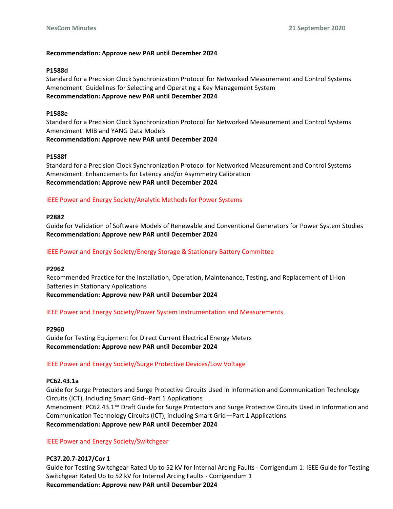## **Recommendation: Approve new PAR until December 2024**

## **P1588d**

Standard for a Precision Clock Synchronization Protocol for Networked Measurement and Control Systems Amendment: Guidelines for Selecting and Operating a Key Management System **Recommendation: Approve new PAR until December 2024**

## **P1588e**

Standard for a Precision Clock Synchronization Protocol for Networked Measurement and Control Systems Amendment: MIB and YANG Data Models **Recommendation: Approve new PAR until December 2024**

## **P1588f**

Standard for a Precision Clock Synchronization Protocol for Networked Measurement and Control Systems Amendment: Enhancements for Latency and/or Asymmetry Calibration **Recommendation: Approve new PAR until December 2024**

# IEEE Power and Energy Society/Analytic Methods for Power Systems

## **P2882**

Guide for Validation of Software Models of Renewable and Conventional Generators for Power System Studies **Recommendation: Approve new PAR until December 2024**

# IEEE Power and Energy Society/Energy Storage & Stationary Battery Committee

## **P2962**

Recommended Practice for the Installation, Operation, Maintenance, Testing, and Replacement of Li-Ion Batteries in Stationary Applications

**Recommendation: Approve new PAR until December 2024**

## IEEE Power and Energy Society/Power System Instrumentation and Measurements

## **P2960**

Guide for Testing Equipment for Direct Current Electrical Energy Meters **Recommendation: Approve new PAR until December 2024**

# IEEE Power and Energy Society/Surge Protective Devices/Low Voltage

## **PC62.43.1a**

Guide for Surge Protectors and Surge Protective Circuits Used in Information and Communication Technology Circuits (ICT), Including Smart Grid--Part 1 Applications Amendment: PC62.43.1™ Draft Guide for Surge Protectors and Surge Protective Circuits Used in Information and Communication Technology Circuits (ICT), including Smart Grid—Part 1 Applications **Recommendation: Approve new PAR until December 2024**

IEEE Power and Energy Society/Switchgear

## **PC37.20.7-2017/Cor 1**

Guide for Testing Switchgear Rated Up to 52 kV for Internal Arcing Faults - Corrigendum 1: IEEE Guide for Testing Switchgear Rated Up to 52 kV for Internal Arcing Faults - Corrigendum 1 **Recommendation: Approve new PAR until December 2024**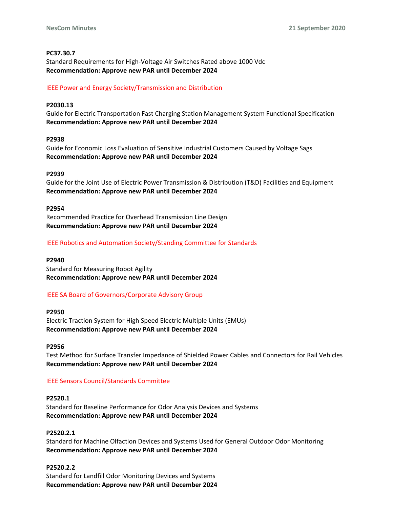## **PC37.30.7**

Standard Requirements for High-Voltage Air Switches Rated above 1000 Vdc **Recommendation: Approve new PAR until December 2024**

## IEEE Power and Energy Society/Transmission and Distribution

## **P2030.13**

Guide for Electric Transportation Fast Charging Station Management System Functional Specification **Recommendation: Approve new PAR until December 2024**

## **P2938**

Guide for Economic Loss Evaluation of Sensitive Industrial Customers Caused by Voltage Sags **Recommendation: Approve new PAR until December 2024**

#### **P2939**

Guide for the Joint Use of Electric Power Transmission & Distribution (T&D) Facilities and Equipment **Recommendation: Approve new PAR until December 2024**

#### **P2954**

Recommended Practice for Overhead Transmission Line Design **Recommendation: Approve new PAR until December 2024**

## IEEE Robotics and Automation Society/Standing Committee for Standards

#### **P2940**

Standard for Measuring Robot Agility **Recommendation: Approve new PAR until December 2024**

## IEEE SA Board of Governors/Corporate Advisory Group

**P2950** Electric Traction System for High Speed Electric Multiple Units (EMUs) **Recommendation: Approve new PAR until December 2024**

#### **P2956**

Test Method for Surface Transfer Impedance of Shielded Power Cables and Connectors for Rail Vehicles **Recommendation: Approve new PAR until December 2024**

#### IEEE Sensors Council/Standards Committee

#### **P2520.1**

Standard for Baseline Performance for Odor Analysis Devices and Systems **Recommendation: Approve new PAR until December 2024**

#### **P2520.2.1**

Standard for Machine Olfaction Devices and Systems Used for General Outdoor Odor Monitoring **Recommendation: Approve new PAR until December 2024**

## **P2520.2.2**

Standard for Landfill Odor Monitoring Devices and Systems **Recommendation: Approve new PAR until December 2024**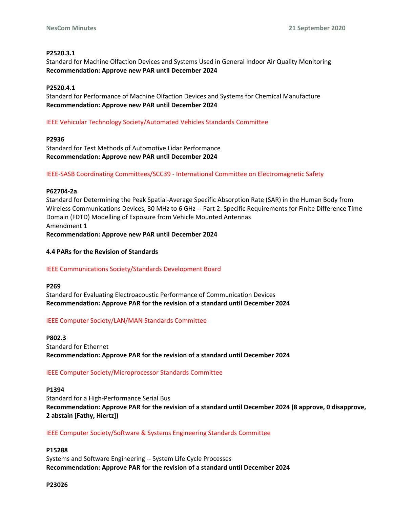## **P2520.3.1**

Standard for Machine Olfaction Devices and Systems Used in General Indoor Air Quality Monitoring **Recommendation: Approve new PAR until December 2024**

## **P2520.4.1**

Standard for Performance of Machine Olfaction Devices and Systems for Chemical Manufacture **Recommendation: Approve new PAR until December 2024**

## IEEE Vehicular Technology Society/Automated Vehicles Standards Committee

## **P2936**

Standard for Test Methods of Automotive Lidar Performance **Recommendation: Approve new PAR until December 2024**

## IEEE-SASB Coordinating Committees/SCC39 - International Committee on Electromagnetic Safety

#### **P62704-2a**

Standard for Determining the Peak Spatial-Average Specific Absorption Rate (SAR) in the Human Body from Wireless Communications Devices, 30 MHz to 6 GHz -- Part 2: Specific Requirements for Finite Difference Time Domain (FDTD) Modelling of Exposure from Vehicle Mounted Antennas Amendment 1

**Recommendation: Approve new PAR until December 2024**

## **4.4 PARs for the Revision of Standards**

## IEEE Communications Society/Standards Development Board

#### **P269**

Standard for Evaluating Electroacoustic Performance of Communication Devices **Recommendation: Approve PAR for the revision of a standard until December 2024**

## IEEE Computer Society/LAN/MAN Standards Committee

**P802.3** Standard for Ethernet **Recommendation: Approve PAR for the revision of a standard until December 2024**

## IEEE Computer Society/Microprocessor Standards Committee

#### **P1394**

Standard for a High-Performance Serial Bus **Recommendation: Approve PAR for the revision of a standard until December 2024 (8 approve, 0 disapprove, 2 abstain [Fathy, Hiertz])**

## IEEE Computer Society/Software & Systems Engineering Standards Committee

## **P15288**

Systems and Software Engineering -- System Life Cycle Processes **Recommendation: Approve PAR for the revision of a standard until December 2024**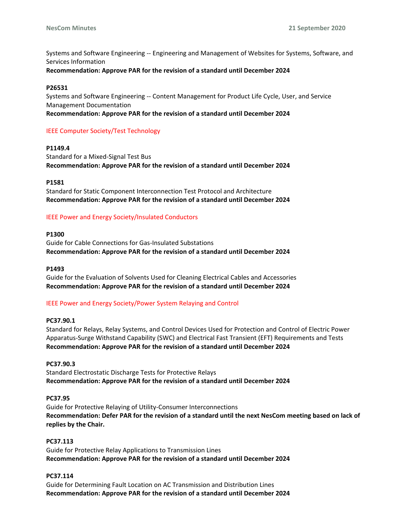Systems and Software Engineering -- Engineering and Management of Websites for Systems, Software, and Services Information

**Recommendation: Approve PAR for the revision of a standard until December 2024**

## **P26531**

Systems and Software Engineering -- Content Management for Product Life Cycle, User, and Service Management Documentation

**Recommendation: Approve PAR for the revision of a standard until December 2024**

## IEEE Computer Society/Test Technology

## **P1149.4**

Standard for a Mixed-Signal Test Bus **Recommendation: Approve PAR for the revision of a standard until December 2024**

**P1581**

Standard for Static Component Interconnection Test Protocol and Architecture **Recommendation: Approve PAR for the revision of a standard until December 2024**

## IEEE Power and Energy Society/Insulated Conductors

## **P1300**

Guide for Cable Connections for Gas-Insulated Substations **Recommendation: Approve PAR for the revision of a standard until December 2024**

#### **P1493**

Guide for the Evaluation of Solvents Used for Cleaning Electrical Cables and Accessories **Recommendation: Approve PAR for the revision of a standard until December 2024**

## IEEE Power and Energy Society/Power System Relaying and Control

## **PC37.90.1**

Standard for Relays, Relay Systems, and Control Devices Used for Protection and Control of Electric Power Apparatus-Surge Withstand Capability (SWC) and Electrical Fast Transient (EFT) Requirements and Tests **Recommendation: Approve PAR for the revision of a standard until December 2024**

## **PC37.90.3**

Standard Electrostatic Discharge Tests for Protective Relays **Recommendation: Approve PAR for the revision of a standard until December 2024**

## **PC37.95**

Guide for Protective Relaying of Utility-Consumer Interconnections **Recommendation: Defer PAR for the revision of a standard until the next NesCom meeting based on lack of replies by the Chair.**

## **PC37.113**

Guide for Protective Relay Applications to Transmission Lines **Recommendation: Approve PAR for the revision of a standard until December 2024**

## **PC37.114**

Guide for Determining Fault Location on AC Transmission and Distribution Lines **Recommendation: Approve PAR for the revision of a standard until December 2024**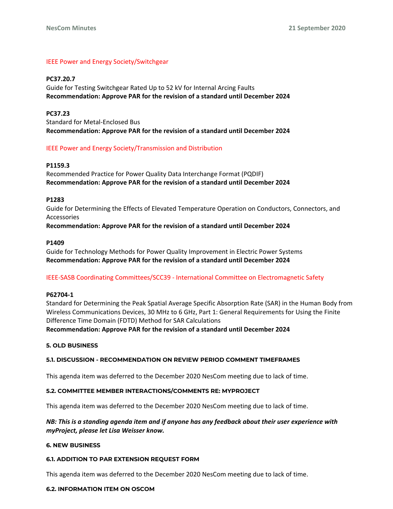## IEEE Power and Energy Society/Switchgear

#### **PC37.20.7**

Guide for Testing Switchgear Rated Up to 52 kV for Internal Arcing Faults **Recommendation: Approve PAR for the revision of a standard until December 2024**

## **PC37.23**

Standard for Metal-Enclosed Bus **Recommendation: Approve PAR for the revision of a standard until December 2024**

## IEEE Power and Energy Society/Transmission and Distribution

## **P1159.3**

Recommended Practice for Power Quality Data Interchange Format (PQDIF) **Recommendation: Approve PAR for the revision of a standard until December 2024**

#### **P1283**

Guide for Determining the Effects of Elevated Temperature Operation on Conductors, Connectors, and Accessories

**Recommendation: Approve PAR for the revision of a standard until December 2024**

#### **P1409**

Guide for Technology Methods for Power Quality Improvement in Electric Power Systems **Recommendation: Approve PAR for the revision of a standard until December 2024**

## IEEE-SASB Coordinating Committees/SCC39 - International Committee on Electromagnetic Safety

#### **P62704-1**

Standard for Determining the Peak Spatial Average Specific Absorption Rate (SAR) in the Human Body from Wireless Communications Devices, 30 MHz to 6 GHz, Part 1: General Requirements for Using the Finite Difference Time Domain (FDTD) Method for SAR Calculations **Recommendation: Approve PAR for the revision of a standard until December 2024**

# **5. OLD BUSINESS**

#### **5.1. DISCUSSION - RECOMMENDATION ON REVIEW PERIOD COMMENT TIMEFRAMES**

This agenda item was deferred to the December 2020 NesCom meeting due to lack of time.

#### **5.2. COMMITTEE MEMBER INTERACTIONS/COMMENTS RE: MYPROJECT**

This agenda item was deferred to the December 2020 NesCom meeting due to lack of time.

## *NB: This is a standing agenda item and if anyone has any feedback about their user experience with myProject, please let Lisa Weisser know.*

#### **6. NEW BUSINESS**

#### **6.1. ADDITION TO PAR EXTENSION REQUEST FORM**

This agenda item was deferred to the December 2020 NesCom meeting due to lack of time.

#### **6.2. INFORMATION ITEM ON OSCOM**